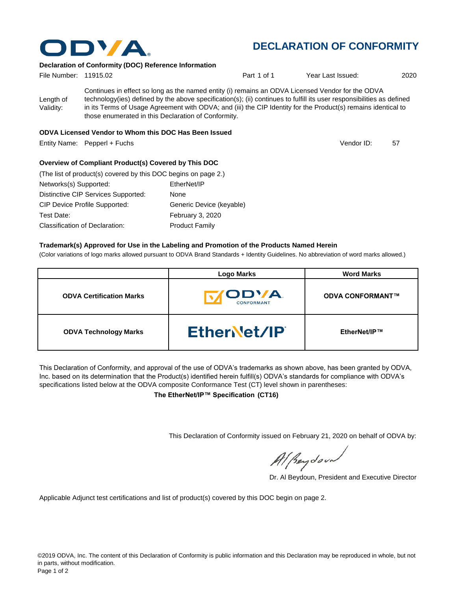

# **DECLARATION OF CONFORMITY**

Vendor ID:

### **Declaration of Conformity (DOC) Reference Information**

| File Number: 11915.02  |                                                                                                                                                                                                                                                                                                                                                                                                   | Part 1 of 1 | Year Last Issued: | 2020 |
|------------------------|---------------------------------------------------------------------------------------------------------------------------------------------------------------------------------------------------------------------------------------------------------------------------------------------------------------------------------------------------------------------------------------------------|-------------|-------------------|------|
| Length of<br>Validity: | Continues in effect so long as the named entity (i) remains an ODVA Licensed Vendor for the ODVA<br>technology(ies) defined by the above specification(s); (ii) continues to fulfill its user responsibilities as defined<br>in its Terms of Usage Agreement with ODVA; and (iii) the CIP Identity for the Product(s) remains identical to<br>those enumerated in this Declaration of Conformity. |             |                   |      |
|                        | $\mathbf{u}$ , $\mathbf{u}$ , $\mathbf{u}$ , $\mathbf{u}$ , $\mathbf{u}$ , $\mathbf{u}$ , $\mathbf{u}$ , $\mathbf{u}$                                                                                                                                                                                                                                                                             |             |                   |      |

#### **ODVA Licensed Vendor to Whom this DOC Has Been Issued**

Entity Name: Pepperl + Fuchs 57 (Section 1999) 12 and 20 and 20 and 20 and 20 and 20 and 20 and 20 and 20 and 20 and 20 and 20 and 20 and 20 and 20 and 20 and 20 and 20 and 20 and 20 and 20 and 20 and 20 and 20 and 20 and

#### **Overview of Compliant Product(s) Covered by This DOC**

| (The list of product(s) covered by this DOC begins on page 2.) |                          |
|----------------------------------------------------------------|--------------------------|
| Networks(s) Supported:                                         | EtherNet/IP              |
| Distinctive CIP Services Supported:                            | None                     |
| <b>CIP Device Profile Supported:</b>                           | Generic Device (keyable) |
| Test Date:                                                     | February 3, 2020         |
| Classification of Declaration:                                 | <b>Product Family</b>    |

#### **Trademark(s) Approved for Use in the Labeling and Promotion of the Products Named Herein**

(Color variations of logo marks allowed pursuant to ODVA Brand Standards + Identity Guidelines. No abbreviation of word marks allowed.)

|                                 | <b>Logo Marks</b>                        | <b>Word Marks</b>       |
|---------------------------------|------------------------------------------|-------------------------|
| <b>ODVA Certification Marks</b> | <b><i>IODVA</i></b><br><b>CONFORMANT</b> | <b>ODVA CONFORMANT™</b> |
| <b>ODVA Technology Marks</b>    | EtherNet/IP                              | EtherNet/IP™            |

This Declaration of Conformity, and approval of the use of ODVA's trademarks as shown above, has been granted by ODVA, Inc. based on its determination that the Product(s) identified herein fulfill(s) ODVA's standards for compliance with ODVA's specifications listed below at the ODVA composite Conformance Test (CT) level shown in parentheses:

**The EtherNet/IP™ Specification (CT16)**

This Declaration of Conformity issued on February 21, 2020 on behalf of ODVA by:

Al Beydoor

Dr. Al Beydoun, President and Executive Director

Applicable Adjunct test certifications and list of product(s) covered by this DOC begin on page 2.